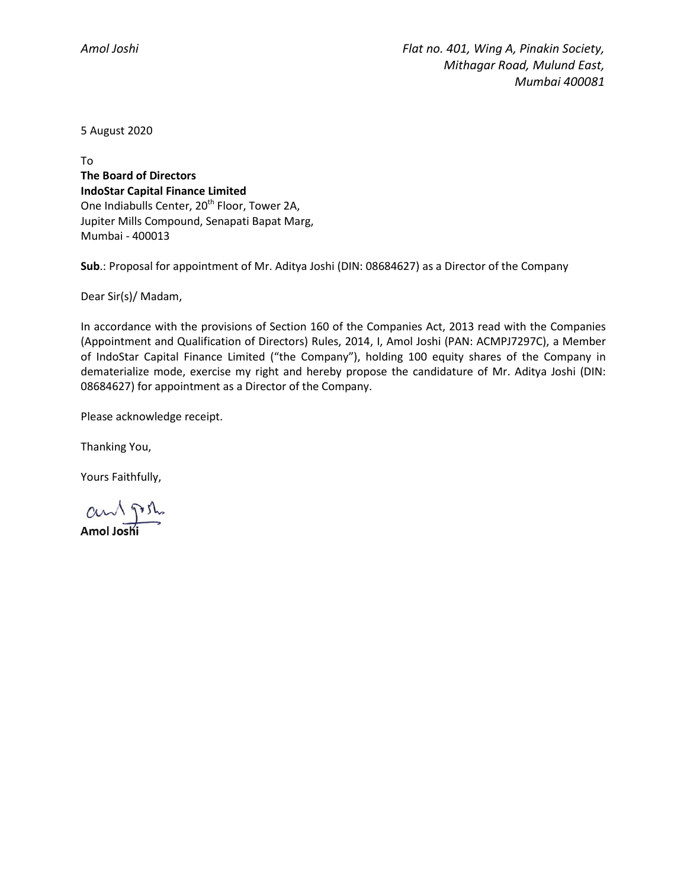5 August 2020

To **The Board of Directors IndoStar Capital Finance Limited** One Indiabulls Center, 20<sup>th</sup> Floor, Tower 2A, Jupiter Mills Compound, Senapati Bapat Marg, Mumbai - 400013

**Sub**.: Proposal for appointment of Mr. Aditya Joshi (DIN: 08684627) as a Director of the Company

Dear Sir(s)/ Madam,

In accordance with the provisions of Section 160 of the Companies Act, 2013 read with the Companies (Appointment and Qualification of Directors) Rules, 2014, I, Amol Joshi (PAN: ACMPJ7297C), a Member of IndoStar Capital Finance Limited ("the Company"), holding 100 equity shares of the Company in dematerialize mode, exercise my right and hereby propose the candidature of Mr. Aditya Joshi (DIN: 08684627) for appointment as a Director of the Company.

Please acknowledge receipt.

Thanking You,

Yours Faithfully,

 $\alpha$   $\sqrt{m}$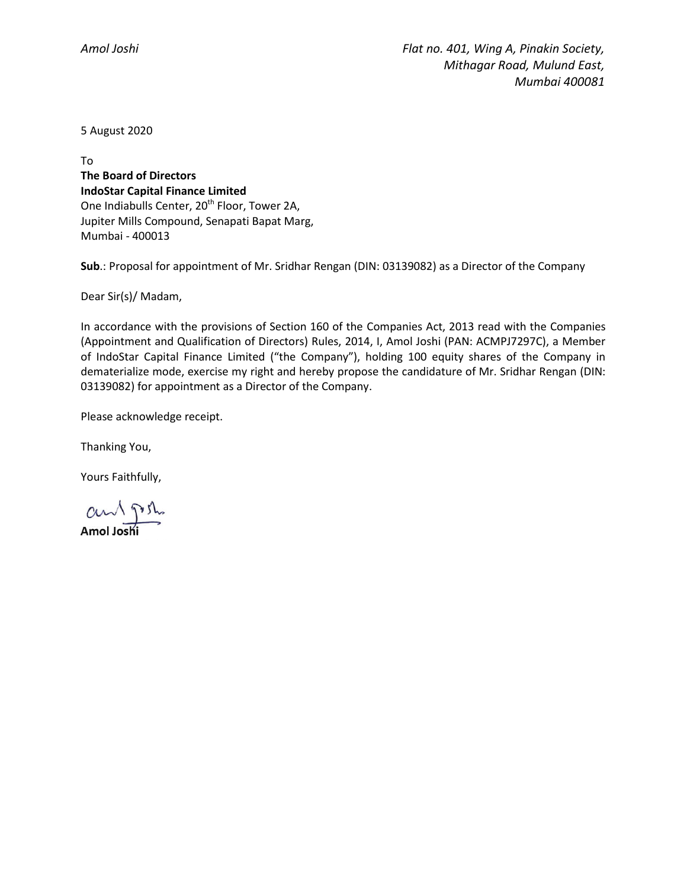5 August 2020

To **The Board of Directors IndoStar Capital Finance Limited** One Indiabulls Center, 20<sup>th</sup> Floor, Tower 2A, Jupiter Mills Compound, Senapati Bapat Marg, Mumbai - 400013

**Sub**.: Proposal for appointment of Mr. Sridhar Rengan (DIN: 03139082) as a Director of the Company

Dear Sir(s)/ Madam,

In accordance with the provisions of Section 160 of the Companies Act, 2013 read with the Companies (Appointment and Qualification of Directors) Rules, 2014, I, Amol Joshi (PAN: ACMPJ7297C), a Member of IndoStar Capital Finance Limited ("the Company"), holding 100 equity shares of the Company in dematerialize mode, exercise my right and hereby propose the candidature of Mr. Sridhar Rengan (DIN: 03139082) for appointment as a Director of the Company.

Please acknowledge receipt.

Thanking You,

Yours Faithfully,

 $\alpha$   $\sqrt{m}$